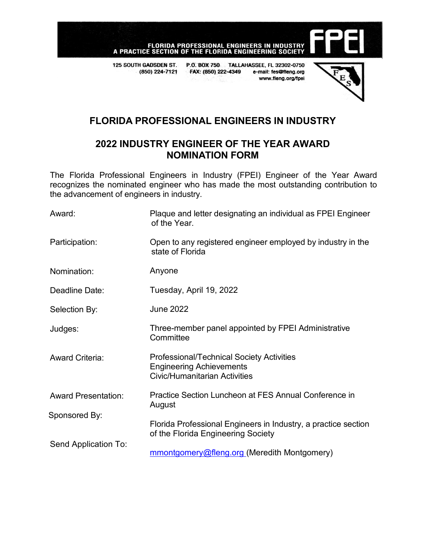

125 SOUTH GADSDEN ST. P.O. BOX 750 TALLAHASSEE, FL 32302-0750 (850) 224-7121 FAX: (850) 222-4349 e-mail: fes@fleng.org www.fleng.org/fpei



# **FLORIDA PROFESSIONAL ENGINEERS IN INDUSTRY**

## **2022 INDUSTRY ENGINEER OF THE YEAR AWARD NOMINATION FORM**

The Florida Professional Engineers in Industry (FPEI) Engineer of the Year Award recognizes the nominated engineer who has made the most outstanding contribution to the advancement of engineers in industry.

| Award:                     | Plaque and letter designating an individual as FPEI Engineer<br>of the Year.                                                |
|----------------------------|-----------------------------------------------------------------------------------------------------------------------------|
| Participation:             | Open to any registered engineer employed by industry in the<br>state of Florida                                             |
| Nomination:                | Anyone                                                                                                                      |
| Deadline Date:             | Tuesday, April 19, 2022                                                                                                     |
| Selection By:              | <b>June 2022</b>                                                                                                            |
| Judges:                    | Three-member panel appointed by FPEI Administrative<br>Committee                                                            |
| <b>Award Criteria:</b>     | <b>Professional/Technical Society Activities</b><br><b>Engineering Achievements</b><br><b>Civic/Humanitarian Activities</b> |
| <b>Award Presentation:</b> | Practice Section Luncheon at FES Annual Conference in<br>August                                                             |
| Sponsored By:              | Florida Professional Engineers in Industry, a practice section<br>of the Florida Engineering Society                        |
| Send Application To:       | mmontgomery@fleng.org (Meredith Montgomery)                                                                                 |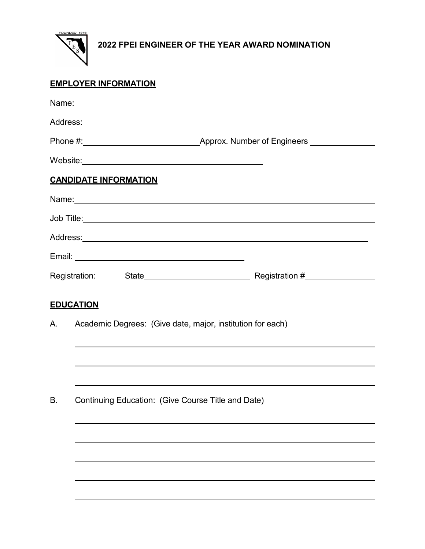

## **EMPLOYER INFORMATION**

| Name: Name and the service of the service of the service of the service of the service of the service of the service of the service of the service of the service of the service of the service of the service of the service |  |  |  |
|-------------------------------------------------------------------------------------------------------------------------------------------------------------------------------------------------------------------------------|--|--|--|
|                                                                                                                                                                                                                               |  |  |  |
|                                                                                                                                                                                                                               |  |  |  |
|                                                                                                                                                                                                                               |  |  |  |
| <b>CANDIDATE INFORMATION</b>                                                                                                                                                                                                  |  |  |  |
| Name: 2008. 2009. 2010. 2010. 2010. 2010. 2010. 2010. 2010. 2010. 2010. 2010. 2010. 2010. 2010. 2010. 2010. 20                                                                                                                |  |  |  |
|                                                                                                                                                                                                                               |  |  |  |
|                                                                                                                                                                                                                               |  |  |  |
|                                                                                                                                                                                                                               |  |  |  |
|                                                                                                                                                                                                                               |  |  |  |
| <b>EDUCATION</b><br>Academic Degrees: (Give date, major, institution for each)<br>А.                                                                                                                                          |  |  |  |
|                                                                                                                                                                                                                               |  |  |  |
|                                                                                                                                                                                                                               |  |  |  |
| Continuing Education: (Give Course Title and Date)<br>B.                                                                                                                                                                      |  |  |  |
|                                                                                                                                                                                                                               |  |  |  |
|                                                                                                                                                                                                                               |  |  |  |
|                                                                                                                                                                                                                               |  |  |  |
|                                                                                                                                                                                                                               |  |  |  |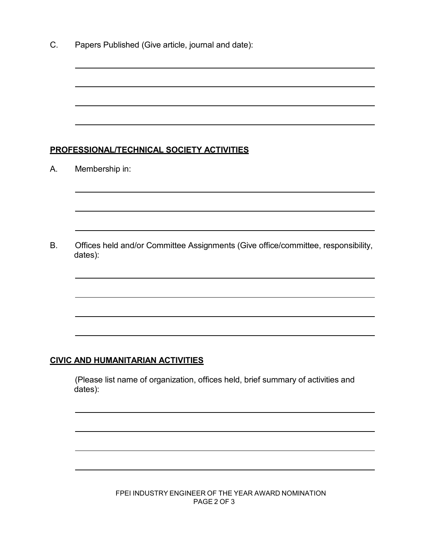C. Papers Published (Give article, journal and date):

#### **PROFESSIONAL/TECHNICAL SOCIETY ACTIVITIES**

A. Membership in:

B. Offices held and/or Committee Assignments (Give office/committee, responsibility, dates):

### **CIVIC AND HUMANITARIAN ACTIVITIES**

(Please list name of organization, offices held, brief summary of activities and dates):

> FPEI INDUSTRY ENGINEER OF THE YEAR AWARD NOMINATION PAGE 2 OF 3